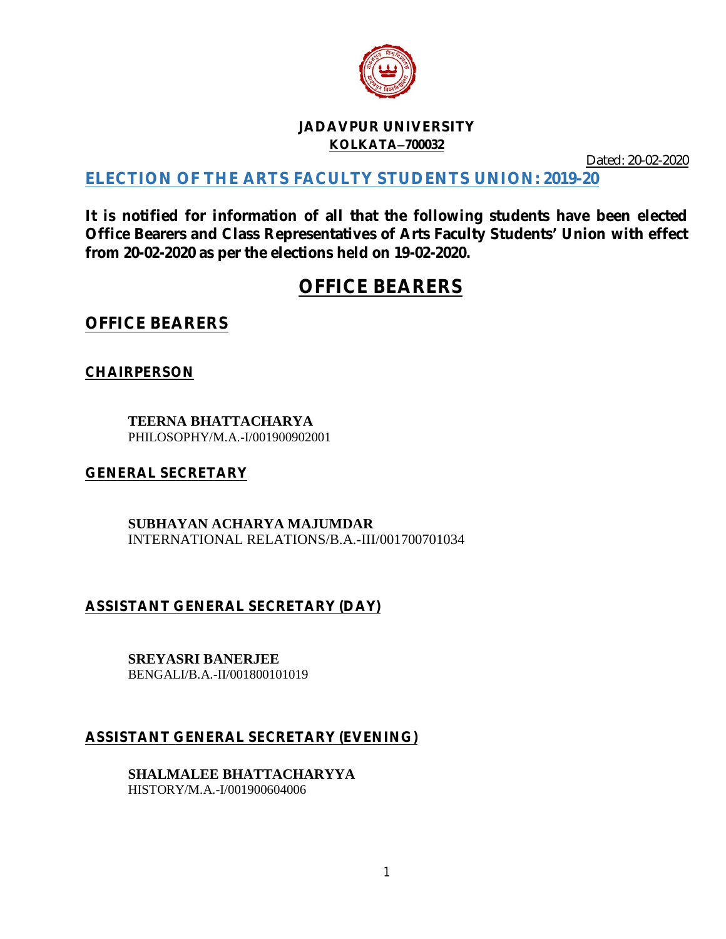

#### **JADAVPUR UNIVERSITY KOLKATA700032**

Dated: 20-02-2020

# **ELECTION OF THE ARTS FACULTY STUDENTS UNION: 2019-20**

**It is notified for information of all that the following students have been elected Office Bearers and Class Representatives of Arts Faculty Students' Union with effect from 20-02-2020 as per the elections held on 19-02-2020.**

# **OFFICE BEARERS**

**OFFICE BEARERS**

**CHAIRPERSON**

**TEERNA BHATTACHARYA** PHILOSOPHY/M.A.-I/001900902001

#### **GENERAL SECRETARY**

**SUBHAYAN ACHARYA MAJUMDAR** INTERNATIONAL RELATIONS/B.A.-III/001700701034

# **ASSISTANT GENERAL SECRETARY (DAY)**

**SREYASRI BANERJEE**

BENGALI/B.A.-II/001800101019

# **ASSISTANT GENERAL SECRETARY (EVENING)**

**SHALMALEE BHATTACHARYYA** HISTORY/M.A.-I/001900604006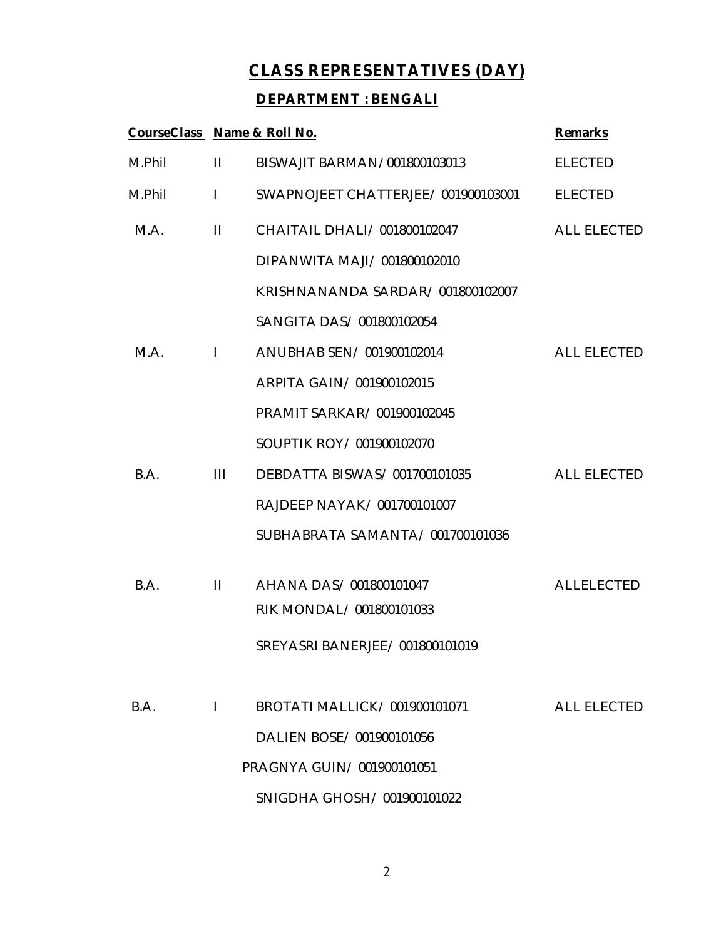# **CLASS REPRESENTATIVES (DAY)**

#### **DEPARTMENT : BENGALI**

| CourseClass Name & Roll No. |                |                                    | <b>Remarks</b>     |
|-----------------------------|----------------|------------------------------------|--------------------|
| M.Phil                      | $\mathbf{H}$   | BISWAJIT BARMAN/001800103013       | <b>ELECTED</b>     |
| M.Phil                      | $\mathbf{I}$   | SWAPNOJEET CHATTERJEE/001900103001 | <b>ELECTED</b>     |
| M.A.                        | $\mathbf{H}$   | CHAITAIL DHALI/ 001800102047       | <b>ALL ELECTED</b> |
|                             |                | DIPANWITA MAJI / 001800102010      |                    |
|                             |                | KRISHNANANDA SARDAR/001800102007   |                    |
|                             |                | SANGITA DAS/ 001800102054          |                    |
| M.A.                        | $\mathbf{L}$   | ANUBHAB SEN/001900102014           | <b>ALL ELECTED</b> |
|                             |                | ARPITA GAIN/001900102015           |                    |
|                             |                | PRAMIT SARKAR/ 001900102045        |                    |
|                             |                | SOUPTIK ROY/001900102070           |                    |
| B.A.                        | $\mathbf{III}$ | DEBDATTA BISWAS/001700101035       | <b>ALL ELECTED</b> |
|                             |                | RAJDEEP NAYAK/ 001700101007        |                    |
|                             |                | SUBHABRATA SAMANTA/001700101036    |                    |
| B.A.                        | $\mathbf{H}$   | AHANA DAS/001800101047             | <b>ALLELECTED</b>  |
|                             |                | RIK MONDAL/ 001800101033           |                    |
|                             |                | SREYASRI BANERJEE/ 001800101019    |                    |
|                             |                |                                    |                    |
| B.A.                        | $\mathbf{I}$   | BROTATI MALLICK/001900101071       | <b>ALL ELECTED</b> |
|                             |                | DALIEN BOSE/001900101056           |                    |
|                             |                | PRAGNYA GUIN/001900101051          |                    |
|                             |                | SNIGDHA GHOSH/001900101022         |                    |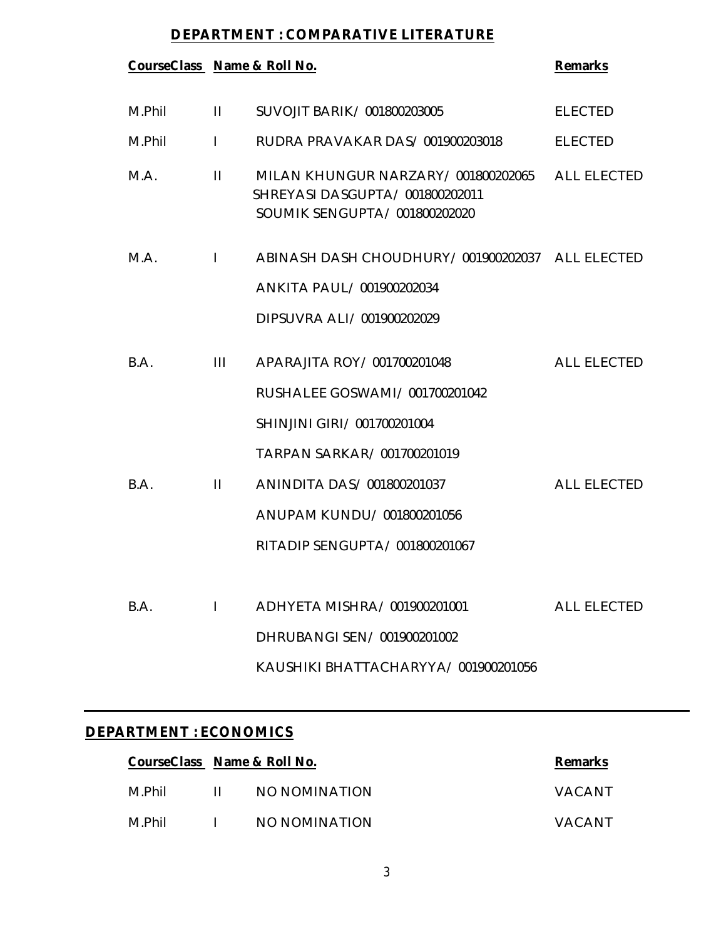#### **DEPARTMENT : COMPARATIVE LITERATURE**

| CourseClass Name & Roll No. |                |                                                                                                       | <b>Remarks</b>     |
|-----------------------------|----------------|-------------------------------------------------------------------------------------------------------|--------------------|
| M.Phil                      | $\mathbf{H}$   | SUVOJIT BARIK/001800203005                                                                            | <b>ELECTED</b>     |
| M.Phil                      | $\mathbf{I}$   | RUDRA PRAVAKAR DAS/001900203018                                                                       | <b>ELECTED</b>     |
| M.A.                        | $\mathbf{H}$   | MILAN KHUNGUR NARZARY/001800202065<br>SHREYASI DASGUPTA/ 001800202011<br>SOUMIK SENGUPTA/001800202020 | <b>ALL ELECTED</b> |
| M.A.                        | $\mathbf{I}$   | ABINASH DASH CHOUDHURY / 001900202037 ALL ELECTED                                                     |                    |
|                             |                | ANKITA PAUL/001900202034                                                                              |                    |
|                             |                | DIPSUVRA ALI / 001900202029                                                                           |                    |
| B.A.                        | $\mathbf{III}$ | APARAJITA ROY / 001700201048                                                                          | <b>ALL ELECTED</b> |
|                             |                | RUSHALEE GOSWAMI / 001700201042                                                                       |                    |
|                             |                | SHINJINI GIRI / 001700201004                                                                          |                    |
|                             |                | TARPAN SARKAR/001700201019                                                                            |                    |
| B.A.                        | $\mathbf{H}$   | ANINDITA DAS/001800201037                                                                             | <b>ALL ELECTED</b> |
|                             |                | ANUPAM KUNDU/001800201056                                                                             |                    |
|                             |                | RITADIP SENGUPTA/001800201067                                                                         |                    |
| B.A.                        | L              | ADHYETA MISHRA/ 001900201001                                                                          | <b>ALL ELECTED</b> |
|                             |                | DHRUBANGI SEN/001900201002                                                                            |                    |
|                             |                | KAUSHIKI BHATTACHARYYA/001900201056                                                                   |                    |

# **DEPARTMENT : ECONOMICS**

|        | CourseClass Name & Roll No. |               | <b>Remarks</b> |
|--------|-----------------------------|---------------|----------------|
| M.Phil | $\mathbf{H}$                | NO NOMINATION | VACANT         |
| M.Phil | $\mathbf{L}$                | NO NOMINATION | VACANT         |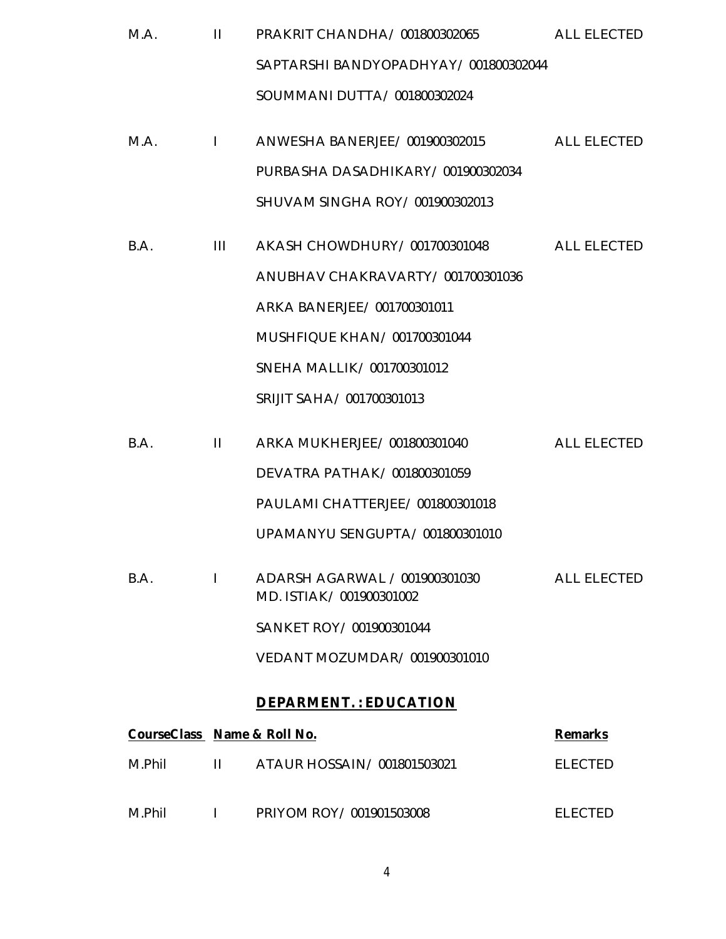| M.A. | $\mathbf{H}$ | PRAKRIT CHANDHA/001800302065           | ALL ELECTED        |
|------|--------------|----------------------------------------|--------------------|
|      |              | SAPTARSHI BANDYOPADHYAY/001800302044   |                    |
|      |              | SOUMMANI DUTTA/001800302024            |                    |
| M.A. |              | I ANWESHA BANERJEE/001900302015        | ALL ELECTED        |
|      |              | PURBASHA DASADHIKARY/001900302034      |                    |
|      |              | SHUVAM SINGHA ROY / 001900302013       |                    |
| B.A. | Ш            | AKASH CHOWDHURY / 001700301048         | <b>ALL ELECTED</b> |
|      |              | ANUBHAV CHAKRAVARTY/001700301036       |                    |
|      |              | ARKA BANERJEE/001700301011             |                    |
|      |              | MUSHFIQUE KHAN/001700301044            |                    |
|      |              | SNEHA MALLIK / 001700301012            |                    |
|      |              | SRIJIT SAHA/001700301013               |                    |
| R A  | $\mathbf{H}$ | A D K A A ALLIK HED IEE / 001800301040 | ALL ELECTED        |

| B.A. | ARKA MUKHERJEEZ 001800301040                               | ALL FIFUIFIJ |
|------|------------------------------------------------------------|--------------|
|      | DEVATRA PATHAK/001800301059                                |              |
|      | PAULAMI CHATTERJEE / 001800301018                          |              |
|      | UPAMANYU SENGUPTA/001800301010                             |              |
| B.A. | ADARSH AGARWAL / 001900301030<br>MD. ISTIAK / 001900301002 | ALL FLECTED  |
|      | SANKET ROY / 001900301044                                  |              |
|      | VEDANT MOZUMDAR/001900301010                               |              |

# **DEPARMENT. : EDUCATION**

| CourseClass Name & Roll No. |                                        | <b>Remarks</b> |
|-----------------------------|----------------------------------------|----------------|
| M.Phil                      | $\parallel$ ATAUR HOSSAIN/001801503021 | FI FCTFD       |
| M.Phil                      | PRIYOM ROY/001901503008                | ELECTED        |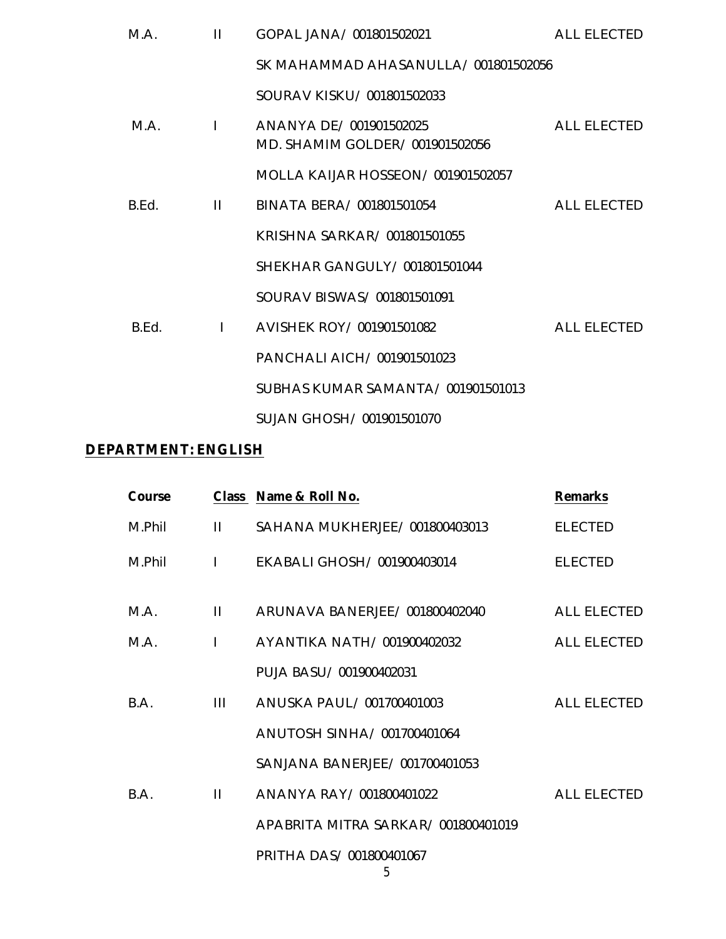| M.A.  | $\mathbf{H}$ | GOPAL JANA/001801502021                                  | ALL ELECTED        |
|-------|--------------|----------------------------------------------------------|--------------------|
|       |              | SK MAHAMMAD AHASANULLA/001801502056                      |                    |
|       |              | SOURAV KISKU/001801502033                                |                    |
| M A   | $\mathbf{1}$ | ANANYA DE/001901502025<br>MD. SHAMIM GOLDER/001901502056 | <b>ALL ELECTED</b> |
|       |              | MOLLA KAIJAR HOSSEON/001901502057                        |                    |
| B.Fd. | $\mathbf{H}$ | BINATA BERA/001801501054                                 | <b>ALL ELECTED</b> |
|       |              | KRISHNA SARKAR/ 001801501055                             |                    |
|       |              | SHEKHAR GANGULY / 001801501044                           |                    |
|       |              | SOURAV BISWAS/001801501091                               |                    |
| B.Ed. | $\mathbf{L}$ | AVISHEK ROY / 001901501082                               | <b>ALL ELECTED</b> |
|       |              | PANCHALI AICH/001901501023                               |                    |
|       |              | SUBHAS KUMAR SAMANTA/001901501013                        |                    |
|       |              | SUJAN GHOSH / 001901501070                               |                    |

#### **DEPARTMENT: ENGLISH**

| Course |              | Class Name & Roll No.              | <b>Remarks</b>     |
|--------|--------------|------------------------------------|--------------------|
| M.Phil | $\mathbf{H}$ | SAHANA MUKHERJEE/001800403013      | <b>ELECTED</b>     |
| M.Phil | $\mathbf{I}$ | EKABALI GHOSH/001900403014         | <b>ELECTED</b>     |
| M.A.   | $\mathbf{H}$ | ARUNAVA BANERJEE/001800402040      | <b>ALL ELECTED</b> |
| M A    | $\mathbf{I}$ | AYANTIKA NATH/001900402032         | <b>ALL ELECTED</b> |
|        |              | PUJA BASU / 001900402031           |                    |
| BA.    | Ш            | ANUSKA PAUL/001700401003           | ALL ELECTED        |
|        |              | ANUTOSH SINHA / 001700401064       |                    |
|        |              | SANJANA BANERJEE/001700401053      |                    |
| BA.    | $\mathbf{H}$ | ANANYA RAY / 001800401022          | <b>ALL ELECTED</b> |
|        |              | APABRITA MITRA SARKAR/001800401019 |                    |
|        |              | PRITHA DAS/001800401067            |                    |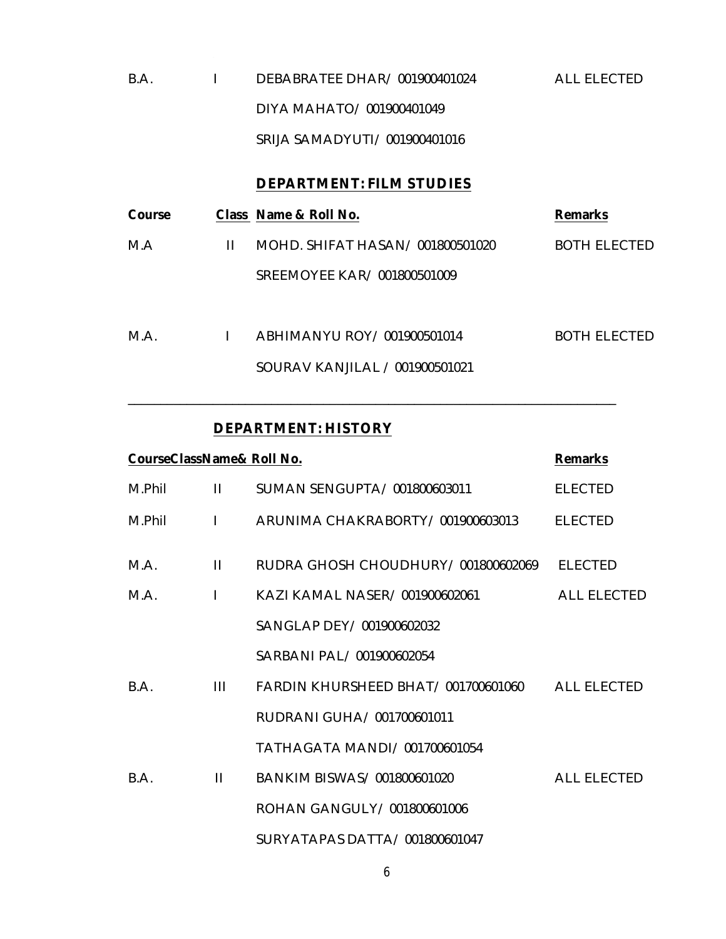| B.A | DEBABRATEE DHAR/001900401024   | ALL ELECTED |
|-----|--------------------------------|-------------|
|     | DIYA MAHATO/001900401049       |             |
|     | SRIJA SAMADYUTI / 001900401016 |             |

#### **DEPARTMENT: FILM STUDIES**

| Course |   | Class Name & Roll No.            | <b>Remarks</b>      |
|--------|---|----------------------------------|---------------------|
| M.A    | Ш | MOHD. SHIFAT HASAN/ 001800501020 | <b>BOTH ELECTED</b> |
|        |   | SREEMOYEE KAR/001800501009       |                     |
|        |   |                                  |                     |
| M.A.   |   | ABHIMANYU ROY / 001900501014     | BOTH ELECTED        |
|        |   | SOURAV KANJILAL / 001900501021   |                     |

\_\_\_\_\_\_\_\_\_\_\_\_\_\_\_\_\_\_\_\_\_\_\_\_\_\_\_\_\_\_\_\_\_\_\_\_\_\_\_\_\_\_\_\_\_\_\_\_\_\_\_\_\_\_\_\_\_\_\_\_\_\_\_\_\_\_\_\_\_\_\_\_\_\_\_

#### **DEPARTMENT: HISTORY**

|        | CourseClassName& Roll No.<br><b>Remarks</b> |                                                |                    |  |  |
|--------|---------------------------------------------|------------------------------------------------|--------------------|--|--|
| M.Phil | Ш                                           | SUMAN SENGUPTA/001800603011                    | <b>ELECTED</b>     |  |  |
| M.Phil | $\mathbf{L}$                                | ARUNIMA CHAKRABORTY/001900603013               | <b>ELECTED</b>     |  |  |
| M.A.   | Ш                                           | RUDRA GHOSH CHOUDHURY / 001800602069           | <b>ELECTED</b>     |  |  |
| M A    | L                                           | KAZI KAMAL NASER/001900602061                  | <b>ALL ELECTED</b> |  |  |
|        |                                             | SANGLAP DEY/ 001900602032                      |                    |  |  |
|        |                                             | SARBANI PAL / 001900602054                     |                    |  |  |
| B.A.   | Ш                                           | FARDIN KHURSHEED BHAT/001700601060 ALL ELECTED |                    |  |  |
|        |                                             | RUDRANI GUHA / 001700601011                    |                    |  |  |
|        |                                             | TATHAGATA MANDI / 001700601054                 |                    |  |  |
| B.A.   | $\mathbf{H}$                                | BANKIM BISWAS/001800601020                     | <b>ALL ELECTED</b> |  |  |
|        |                                             | ROHAN GANGULY / 001800601006                   |                    |  |  |
|        |                                             | SURYATAPAS DATTA/001800601047                  |                    |  |  |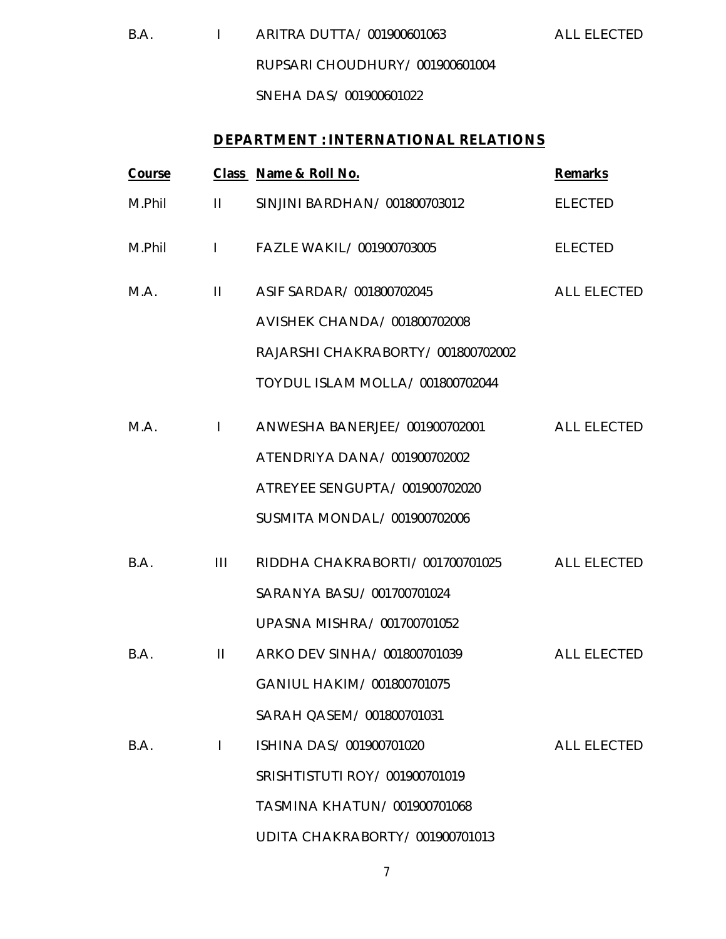B.A. I ARITRA DUTTA/ 001900601063 ALL ELECTED RUPSARI CHOUDHURY/ 001900601004 SNEHA DAS/ 001900601022

#### **DEPARTMENT : INTERNATIONAL RELATIONS**

| Course |                | Class Name & Roll No.             | <b>Remarks</b>     |
|--------|----------------|-----------------------------------|--------------------|
| M.Phil | $\mathbf{H}$   | SINJINI BARDHAN/001800703012      | <b>ELECTED</b>     |
| M.Phil |                | I FAZLE WAKIL/001900703005        | <b>ELECTED</b>     |
| M.A.   | $\mathbf{H}$   | ASIF SARDAR/001800702045          | ALL ELECTED        |
|        |                | AVISHEK CHANDA/ 001800702008      |                    |
|        |                | RAJARSHI CHAKRABORTY/001800702002 |                    |
|        |                | TOYDUL ISLAM MOLLA/ 001800702044  |                    |
| M.A.   | $\mathbf{I}$   | ANWESHA BANERJEE/ 001900702001    | <b>ALL ELECTED</b> |
|        |                | ATENDRIYA DANA/001900702002       |                    |
|        |                | ATREYEE SENGUPTA/001900702020     |                    |
|        |                | SUSMITA MONDAL/001900702006       |                    |
| B.A.   | $\mathbf{III}$ | RIDDHA CHAKRABORTI/001700701025   | <b>ALL ELECTED</b> |
|        |                | SARANYA BASU/001700701024         |                    |
|        |                | UPASNA MISHRA/ 001700701052       |                    |
| B.A.   | $\mathbf{H}$   | ARKO DEV SINHA/ 001800701039      | <b>ALL ELECTED</b> |
|        |                | GANIUL HAKIM/001800701075         |                    |
|        |                | SARAH QASEM/ 001800701031         |                    |
| B.A.   | $\mathbf{I}$   | ISHINA DAS/001900701020           | <b>ALL ELECTED</b> |
|        |                | SRISHTISTUTI ROY/001900701019     |                    |
|        |                | TASMINA KHATUN/001900701068       |                    |
|        |                | UDITA CHAKRABORTY/001900701013    |                    |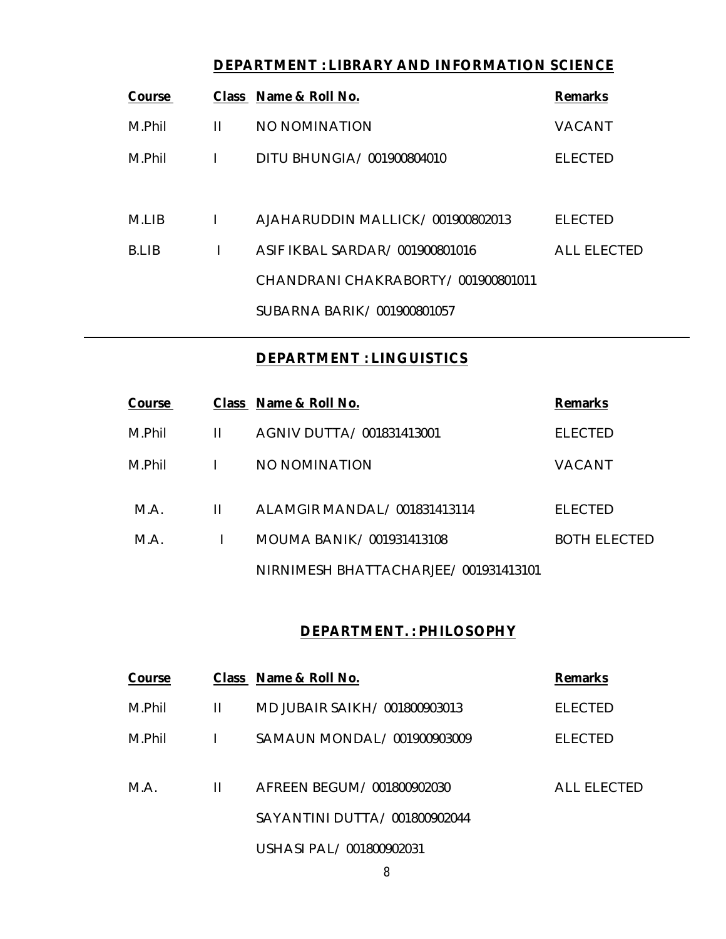# **DEPARTMENT : LIBRARY AND INFORMATION SCIENCE**

| Course |              | Class Name & Roll No.             | <b>Remarks</b>     |
|--------|--------------|-----------------------------------|--------------------|
| M.Phil | $\mathbf{H}$ | NO NOMINATION                     | <b>VACANT</b>      |
| M.Phil | $\mathbf{I}$ | DITU BHUNGIA/001900804010         | <b>FI FCTFD</b>    |
| M.I IB | I            | AJAHARUDDIN MALLICK/001900802013  | <b>ELECTED</b>     |
| B.I IB | L            | ASIF IKBAL SARDAR/001900801016    | <b>ALL ELECTED</b> |
|        |              | CHANDRANICHAKRABORTY/001900801011 |                    |
|        |              | SUBARNA BARIK/001900801057        |                    |

#### **DEPARTMENT : LINGUISTICS**

| Course |   | Class Name & Roll No.                | <b>Remarks</b>      |
|--------|---|--------------------------------------|---------------------|
| M.Phil | н | AGNIV DUTTA/ 001831413001            | <b>ELECTED</b>      |
| M.Phil |   | NO NOMINATION                        | VACANT              |
| M.A.   | Ш | ALAMGIR MANDAL/001831413114          | <b>ELECTED</b>      |
| M.A.   |   | MOUMA BANIK/001931413108             | <b>BOTH ELECTED</b> |
|        |   | NIRNIMESH BHATTACHARJEE/001931413101 |                     |

#### **DEPARTMENT. : PHILOSOPHY**

| Course |              | Class Name & Roll No.         | <b>Remarks</b>     |
|--------|--------------|-------------------------------|--------------------|
| M.Phil | Ш            | MD JUBAIR SAIKH/ 001800903013 | <b>ELECTED</b>     |
| M.Phil | $\mathbf{L}$ | SAMAUN MONDAL/ 001900903009   | <b>ELECTED</b>     |
| M.A.   | Ш            | AFREEN BEGUM/001800902030     | <b>ALL ELECTED</b> |
|        |              | SAYANTINI DUTTA/001800902044  |                    |
|        |              | USHASI PAL/001800902031       |                    |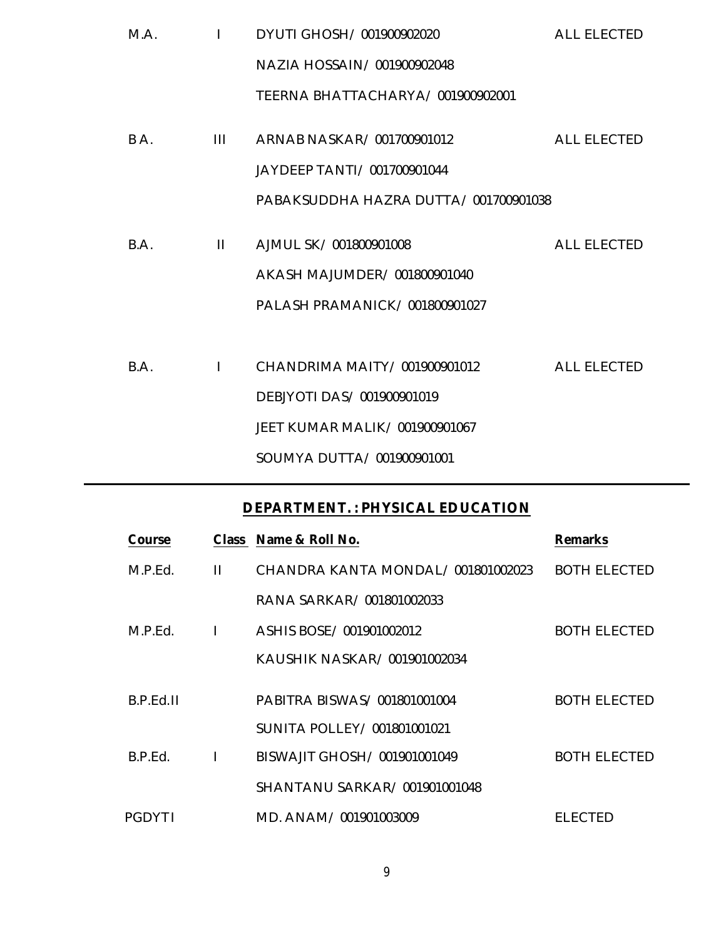| M.A. | $\mathbf{I}$ | DYUTI GHOSH/001900902020             | <b>ALL ELECTED</b> |
|------|--------------|--------------------------------------|--------------------|
|      |              | NAZIA HOSSAIN/001900902048           |                    |
|      |              | TEERNA BHATTACHARYA/001900902001     |                    |
| BA.  | Ш            | ARNAB NASKAR/001700901012            | <b>ALL ELECTED</b> |
|      |              | JAYDEEP TANTI / 001700901044         |                    |
|      |              | PABAKSUDDHA HAZRA DUTTA/001700901038 |                    |
| B.A. | $\mathbf{H}$ | AJMUL SK/001800901008                | <b>ALL ELECTED</b> |
|      |              |                                      |                    |
|      |              | AKASH MAJUMDER/001800901040          |                    |
|      |              | PALASH PRAMANICK/001800901027        |                    |
|      |              |                                      |                    |
| B.A. | $\mathbf{I}$ | CHANDRIMA MAITY/001900901012         | <b>ALL ELECTED</b> |
|      |              | DEBJYOTI DAS/001900901019            |                    |
|      |              | JEET KUMAR MALIK/001900901067        |                    |
|      |              | SOUMYA DUTTA/ 001900901001           |                    |

#### **DEPARTMENT. : PHYSICAL EDUCATION**

| Course        |   | Class Name & Roll No.             | <b>Remarks</b>      |
|---------------|---|-----------------------------------|---------------------|
| M.P.Fd.       | Ш | CHANDRA KANTA MONDAL/001801002023 | <b>BOTH ELECTED</b> |
|               |   | RANA SARKAR/001801002033          |                     |
| M.P.Fd.       |   | ASHIS BOSE / 001901002012         | BOTH ELECTED        |
|               |   | KAUSHIK NASKAR/001901002034       |                     |
| B.P.Fd.II     |   | PABITRA BISWAS/001801001004       | <b>BOTH ELECTED</b> |
|               |   | SUNITA POLLEY/ 001801001021       |                     |
| B.P.Fd.       |   | BISWAJIT GHOSH/001901001049       | <b>BOTH ELECTED</b> |
|               |   | SHANTANU SARKAR/001901001048      |                     |
| <b>PGDYTI</b> |   | MD. ANAM/001901003009             | EI ECTED            |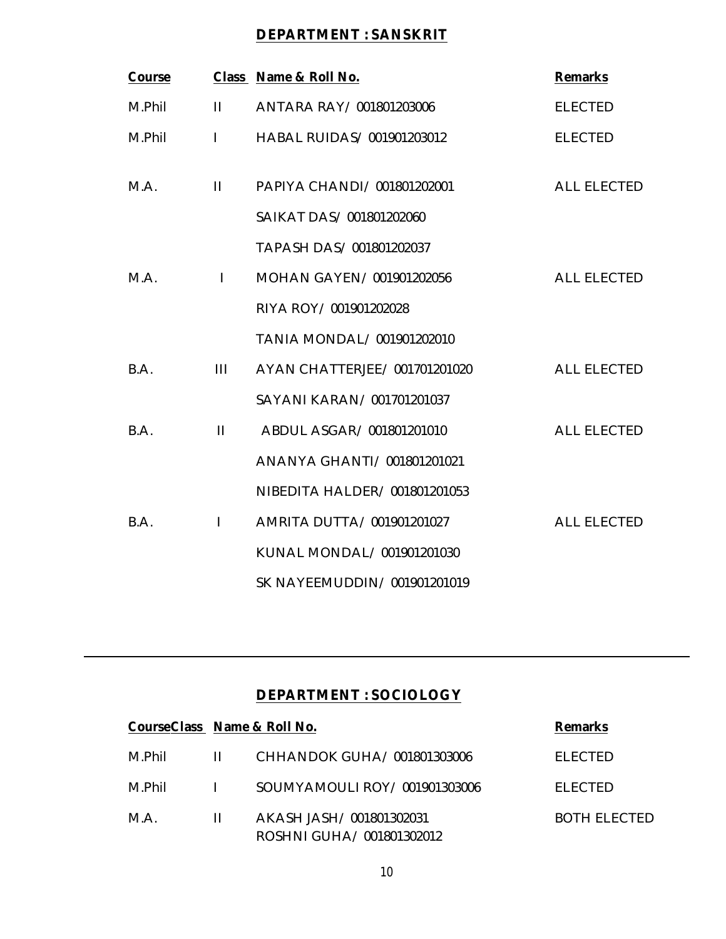# **DEPARTMENT : SANSKRIT**

| Course |              | Class Name & Roll No.         | <b>Remarks</b>     |
|--------|--------------|-------------------------------|--------------------|
| M.Phil | $\mathbf{H}$ | ANTARA RAY / 001801203006     | <b>ELECTED</b>     |
| M.Phil | $\mathbf{L}$ | HABAL RUIDAS/001901203012     | <b>ELECTED</b>     |
| M.A.   | $\mathbf{H}$ | PAPIYA CHANDI/ 001801202001   | <b>ALL ELECTED</b> |
|        |              | SAIKAT DAS/001801202060       |                    |
|        |              | TAPASH DAS/001801202037       |                    |
| M.A.   | $\mathbf{I}$ | MOHAN GAYEN/001901202056      | <b>ALL ELECTED</b> |
|        |              | RIYA ROY/001901202028         |                    |
|        |              | TANIA MONDAL/ 001901202010    |                    |
| B.A.   | Ш            | AYAN CHATTERJEE/ 001701201020 | <b>ALL ELECTED</b> |
|        |              | SAYANI KARAN/001701201037     |                    |
| B.A.   | $\mathbf{H}$ | ABDUL ASGAR/ 001801201010     | <b>ALL ELECTED</b> |
|        |              | ANANYA GHANTI/ 001801201021   |                    |
|        |              | NIBEDITA HALDER/001801201053  |                    |
| B.A.   | $\mathbf{I}$ | AMRITA DUTTA/001901201027     | <b>ALL ELECTED</b> |
|        |              | KUNAL MONDAL/ 001901201030    |                    |
|        |              | SK NAYEEMUDDIN/001901201019   |                    |

# **DEPARTMENT : SOCIOLOGY**

| CourseClass Name & Roll No. |    |                                                        | <b>Remarks</b> |
|-----------------------------|----|--------------------------------------------------------|----------------|
| M.Phil                      | Ш. | CHHANDOK GUHA/001801303006                             | FI FCTFD       |
| M Phil                      |    | SOUMYAMOULLROY/001901303006                            | <b>ELECTED</b> |
| M.A.                        | Ш  | AKASH JASH / 001801302031<br>ROSHNI GUHA/ 001801302012 | BOTH FLECTED   |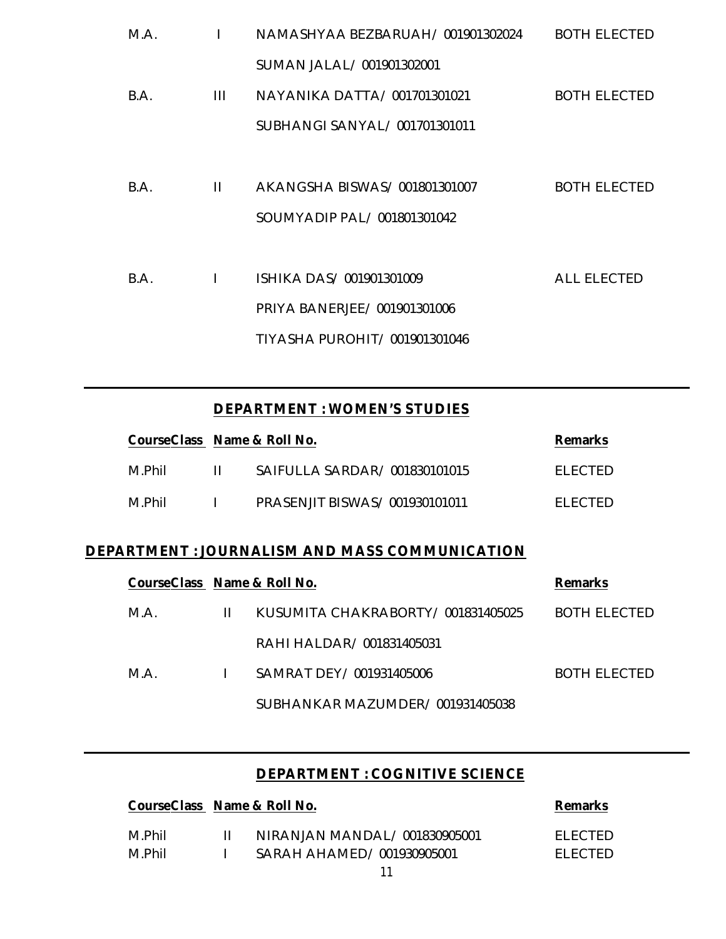| M.A. |              | NAMASHYAA BEZBARUAH/001901302024 | <b>BOTH ELECTED</b> |
|------|--------------|----------------------------------|---------------------|
|      |              | SUMAN JALAL/001901302001         |                     |
| B.A. | Ш            | NAYANIKA DATTA/001701301021      | <b>BOTH ELECTED</b> |
|      |              | SUBHANGI SANYAL/ 001701301011    |                     |
|      |              |                                  |                     |
| B.A. | $\mathbf{H}$ | AKANGSHA BISWAS/001801301007     | <b>BOTH ELECTED</b> |
|      |              | SOUMYADIP PAL/001801301042       |                     |
|      |              |                                  |                     |
| B.A. |              | ISHIKA DAS/001901301009          | <b>ALL ELECTED</b>  |
|      |              | PRIYA BANERJEE/001901301006      |                     |
|      |              | TIYASHA PUROHIT/ 001901301046    |                     |
|      |              |                                  |                     |

# **DEPARTMENT : WOMEN'S STUDIES**

| CourseClass Name & Roll No. |        |                               | <b>Remarks</b> |
|-----------------------------|--------|-------------------------------|----------------|
| M.Phil                      | - 11 - | SAIFULLA SARDAR/001830101015  | FI FCTFD       |
| M.Phil                      |        | PRASENJIT BISWAS/001930101011 | FI FCTFD       |

# **DEPARTMENT : JOURNALISM AND MASS COMMUNICATION**

| CourseClass Name & Roll No. |    |                                   | <b>Remarks</b> |
|-----------------------------|----|-----------------------------------|----------------|
| M.A.                        | Ш. | KUSUMITA CHAKRABORTY/001831405025 | BOTH ELECTED   |
|                             |    | RAHI HAI DAR/001831405031         |                |
| M A                         |    | SAMRAT DFY/001931405006           | BOTH ELECTED   |
|                             |    | SUBHANKAR MAZUMDER/001931405038   |                |

#### **DEPARTMENT : COGNITIVE SCIENCE**

| CourseClass Name & Roll No. |                              | <b>Remarks</b> |
|-----------------------------|------------------------------|----------------|
| M Phil                      | NIRANJAN MANDAL/001830905001 | FI FCTED.      |
| M Phil                      | SARAH AHAMED/001930905001    | FI FCTFD.      |
|                             | $\sim$                       |                |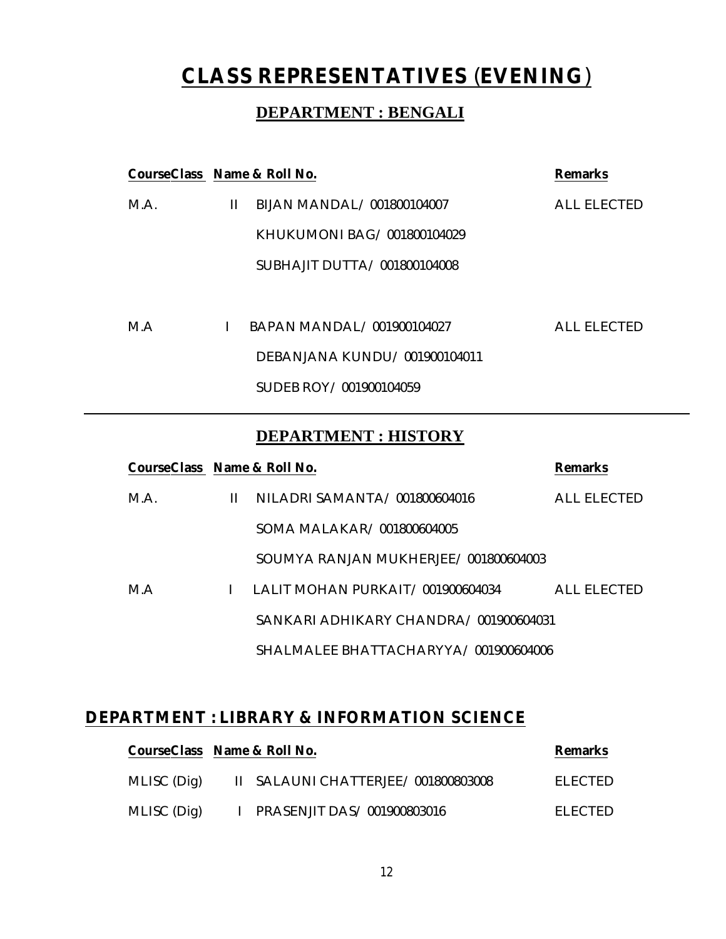# **CLASS REPRESENTATIVES** (**EVENING**)

# **DEPARTMENT : BENGALI**

|      | CourseClass Name & Roll No.<br><b>Remarks</b> |                              |             |  |
|------|-----------------------------------------------|------------------------------|-------------|--|
| M.A. | Ш.                                            | BIJAN MANDAL/001800104007    | ALL FLECTED |  |
|      |                                               | KHUKUMONI BAG/001800104029   |             |  |
|      |                                               | SUBHAJIT DUTTA/001800104008  |             |  |
|      |                                               |                              |             |  |
| M.A  |                                               | BAPAN MANDAL/001900104027    | ALL FLECTED |  |
|      |                                               | DEBANJANA KUNDU/001900104011 |             |  |
|      |                                               | SUDEB ROY / 001900104059     |             |  |
|      |                                               |                              |             |  |

## **DEPARTMENT : HISTORY**

| CourseClass Name & Roll No. |              |                                       | <b>Remarks</b> |
|-----------------------------|--------------|---------------------------------------|----------------|
| M.A.                        | $\mathbf{H}$ | NILADRI SAMANTA / 001800604016        | ALL FLECTED    |
|                             |              | SOMA MALAKAR/001800604005             |                |
|                             |              | SOUMYA RANJAN MUKHERJEE/001800604003  |                |
| M.A                         |              | LALIT MOHAN PURKAIT/001900604034      | ALL ELECTED    |
|                             |              | SANKARI ADHIKARY CHANDRA/001900604031 |                |
|                             |              | SHALMALEE BHATTACHARYYA/001900604006  |                |

# **DEPARTMENT : LIBRARY & INFORMATION SCIENCE**

| CourseClass Name & Roll No. |                                    | <b>Remarks</b> |
|-----------------------------|------------------------------------|----------------|
| MLISC (Dig)                 | II SALAUNI CHATTERJEE/001800803008 | FI FCTFD.      |
| MLISC (Dig)                 | I PRASENJIT DAS/001900803016       | FI FCTFD.      |